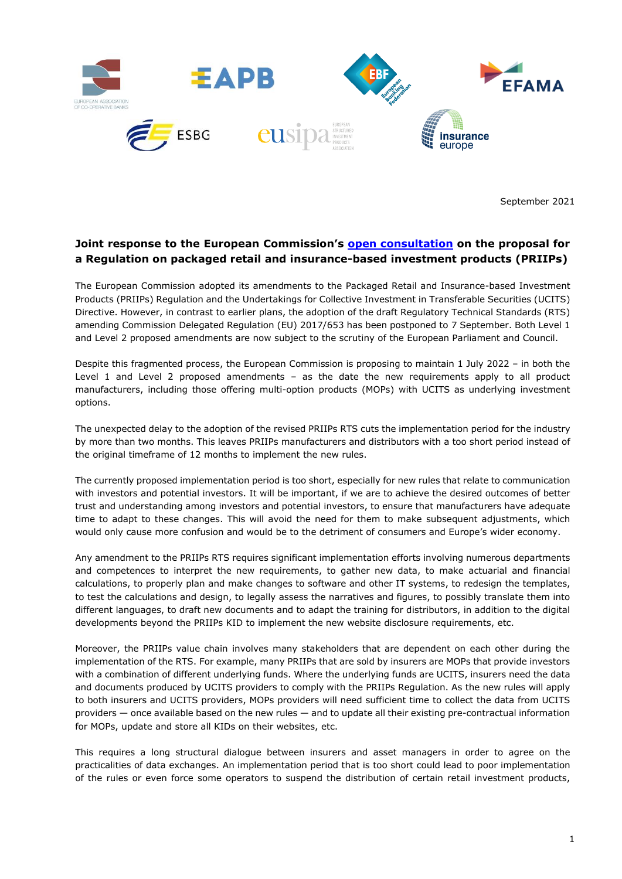

September 2021

## **Joint response to the European Commission's [open consultation](https://ec.europa.eu/info/law/better-regulation/have-your-say/initiatives/12987-Regulation-on-packaged-retail-and-insurance-based-investment-products-PRIIPs-update_en) on the proposal for a Regulation on packaged retail and insurance-based investment products (PRIIPs)**

The European Commission adopted its amendments to the Packaged Retail and Insurance-based Investment Products (PRIIPs) Regulation and the Undertakings for Collective Investment in Transferable Securities (UCITS) Directive. However, in contrast to earlier plans, the adoption of the draft Regulatory Technical Standards (RTS) amending Commission Delegated Regulation (EU) 2017/653 has been postponed to 7 September. Both Level 1 and Level 2 proposed amendments are now subject to the scrutiny of the European Parliament and Council.

Despite this fragmented process, the European Commission is proposing to maintain 1 July 2022 – in both the Level 1 and Level 2 proposed amendments – as the date the new requirements apply to all product manufacturers, including those offering multi-option products (MOPs) with UCITS as underlying investment options.

The unexpected delay to the adoption of the revised PRIIPs RTS cuts the implementation period for the industry by more than two months. This leaves PRIIPs manufacturers and distributors with a too short period instead of the original timeframe of 12 months to implement the new rules.

The currently proposed implementation period is too short, especially for new rules that relate to communication with investors and potential investors. It will be important, if we are to achieve the desired outcomes of better trust and understanding among investors and potential investors, to ensure that manufacturers have adequate time to adapt to these changes. This will avoid the need for them to make subsequent adjustments, which would only cause more confusion and would be to the detriment of consumers and Europe's wider economy.

Any amendment to the PRIIPs RTS requires significant implementation efforts involving numerous departments and competences to interpret the new requirements, to gather new data, to make actuarial and financial calculations, to properly plan and make changes to software and other IT systems, to redesign the templates, to test the calculations and design, to legally assess the narratives and figures, to possibly translate them into different languages, to draft new documents and to adapt the training for distributors, in addition to the digital developments beyond the PRIIPs KID to implement the new website disclosure requirements, etc.

Moreover, the PRIIPs value chain involves many stakeholders that are dependent on each other during the implementation of the RTS. For example, many PRIIPs that are sold by insurers are MOPs that provide investors with a combination of different underlying funds. Where the underlying funds are UCITS, insurers need the data and documents produced by UCITS providers to comply with the PRIIPs Regulation. As the new rules will apply to both insurers and UCITS providers, MOPs providers will need sufficient time to collect the data from UCITS providers — once available based on the new rules — and to update all their existing pre-contractual information for MOPs, update and store all KIDs on their websites, etc.

This requires a long structural dialogue between insurers and asset managers in order to agree on the practicalities of data exchanges. An implementation period that is too short could lead to poor implementation of the rules or even force some operators to suspend the distribution of certain retail investment products,